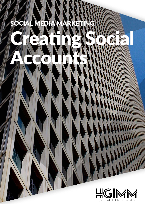# SOCIAL MEDIA MARKETING Creating Society of Creating Creating Accounts:

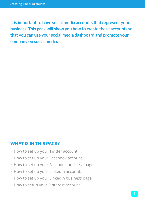**It is important to have social media accounts that represent your business. This pack will show you how to create these accounts so that you can use your social media dashboard and promote your company on social media.**

#### WHAT IS IN THIS PACK?

- How to set up your Twitter account.
- How to set up your Facebook account.
- How to set up your Facebook business page.
- How to set up your LinkedIn account.
- How to set up your LinkedIn business page.
- How to setup your Pinterest account.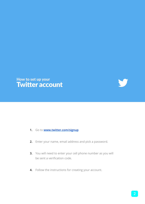



- **1.** Go to **www.twitter.com/signup**
- **2.** Enter your name, email address and pick a password.
- **3.** You will need to enter your cell phone number as you will be sent a verification code.
- **4.** Follow the instructions for creating your account.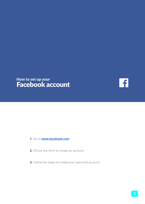#### How to set up your Facebook account

 $\mathbf{F}$ 

- **1.** Go to **www.facebook.com**
- **2.** Fill out the form to create an account.
- **3.** Follow the steps to create your personal account.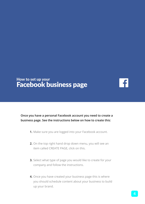## How to set up your Facebook business page

 $\ddot{\bullet}$ 

**Once you have a personal Facebook account you need to create a business page. See the instructions below on how to create this:**

- **1.** Make sure you are logged into your Facebook account.
- **2.** On the top right hand drop down menu, you will see an item called CREATE PAGE, click on this.
- **3.** Select what type of page you would like to create for your company and follow the instructions.
- **4.** Once you have created your business page this is where you should schedule content about your business to build up your brand.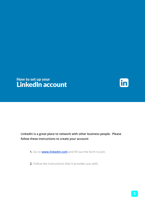## How to set up your LinkedIn account

in

**LinkedIn is a great place to network with other business people. Please follow these instructions to create your account:**

- **1.** Go to **www.linkedin.com** and fill out the form to join.
- **2.** Follow the instructions that it provides you with.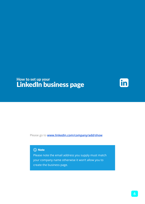### How to set up your LinkedIn business page

in

Please go to **www.linkedin.com/company/add/show**

#### (i) Note

Please note the email address you supply must match your company name otherwise it won't allow you to create the business page.